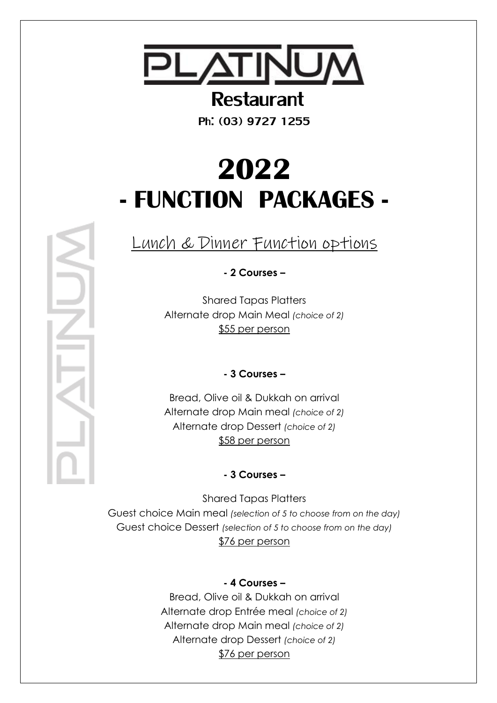

# Restaurant

Ph: (03) 9727 1255

# **2022 - FUNCTION PACKAGES -**

Lunch & Dinner Function options

**- 2 Courses –**

Shared Tapas Platters Alternate drop Main Meal *(choice of 2)* \$55 per person

**- 3 Courses –**

Bread, Olive oil & Dukkah on arrival Alternate drop Main meal *(choice of 2)* Alternate drop Dessert *(choice of 2)* \$58 per person

**- 3 Courses –**

Shared Tapas Platters Guest choice Main meal *(selection of 5 to choose from on the day)* Guest choice Dessert *(selection of 5 to choose from on the day)* \$76 per person

## **- 4 Courses –**

Bread, Olive oil & Dukkah on arrival Alternate drop Entrée meal *(choice of 2)* Alternate drop Main meal *(choice of 2)* Alternate drop Dessert *(choice of 2)* \$76 per person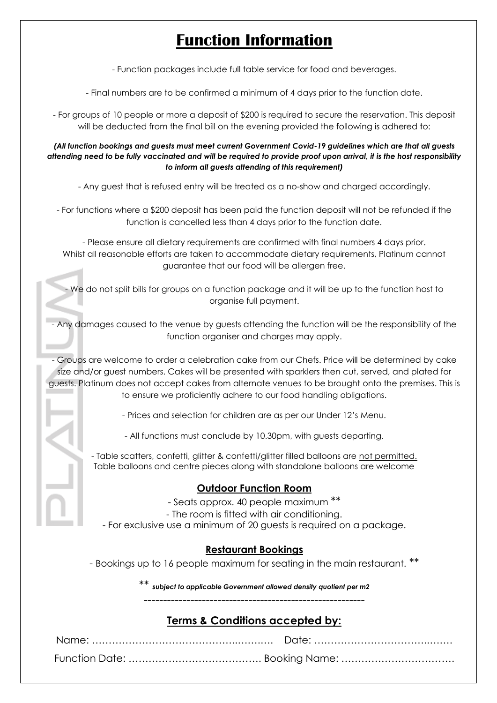# **Function Information**

- Function packages include full table service for food and beverages.

- Final numbers are to be confirmed a minimum of 4 days prior to the function date.

- For groups of 10 people or more a deposit of \$200 is required to secure the reservation. This deposit will be deducted from the final bill on the evening provided the following is adhered to:

*(All function bookings and guests must meet current Government Covid-19 guidelines which are that all guests attending need to be fully vaccinated and will be required to provide proof upon arrival, it is the host responsibility to inform all guests attending of this requirement)*

- Any guest that is refused entry will be treated as a no-show and charged accordingly.

- For functions where a \$200 deposit has been paid the function deposit will not be refunded if the function is cancelled less than 4 days prior to the function date.

- Please ensure all dietary requirements are confirmed with final numbers 4 days prior. Whilst all reasonable efforts are taken to accommodate dietary requirements, Platinum cannot guarantee that our food will be allergen free.

- We do not split bills for groups on a function package and it will be up to the function host to organise full payment.

- Any damages caused to the venue by guests attending the function will be the responsibility of the function organiser and charges may apply.

- Groups are welcome to order a celebration cake from our Chefs. Price will be determined by cake size and/or guest numbers. Cakes will be presented with sparklers then cut, served, and plated for guests. Platinum does not accept cakes from alternate venues to be brought onto the premises. This is to ensure we proficiently adhere to our food handling obligations.

- Prices and selection for children are as per our Under 12's Menu.

- All functions must conclude by 10.30pm, with guests departing.

- Table scatters, confetti, glitter & confetti/glitter filled balloons are not permitted. Table balloons and centre pieces along with standalone balloons are welcome

#### **Outdoor Function Room**

- Seats approx. 40 people maximum \*\*

- The room is fitted with air conditioning.

- For exclusive use a minimum of 20 guests is required on a package.

#### **Restaurant Bookings**

- Bookings up to 16 people maximum for seating in the main restaurant. \*\*

*\*\* subject to applicable Government allowed density quotient per m2*

---------------------------------------------------------

## **Terms & Conditions accepted by:**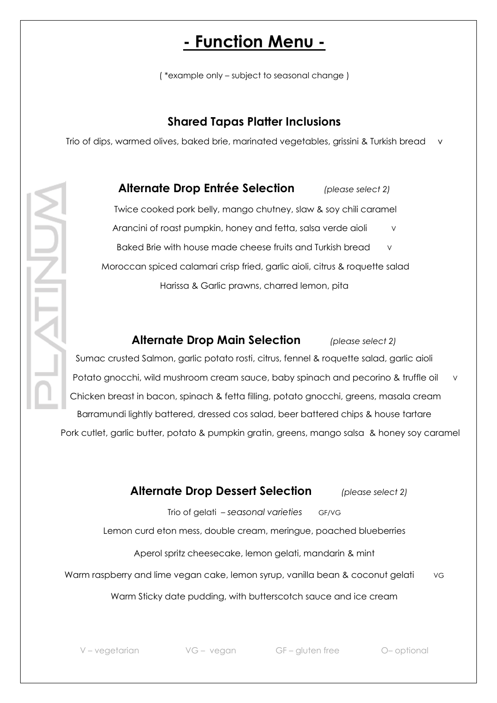# **- Function Menu -**

( \*example only – subject to seasonal change )

## **Shared Tapas Platter Inclusions**

Trio of dips, warmed olives, baked brie, marinated vegetables, grissini & Turkish bread v

**Alternate Drop Entrée Selection** *(please select 2)* Twice cooked pork belly, mango chutney, slaw & soy chili caramel Arancini of roast pumpkin, honey and fetta, salsa verde aioli v Baked Brie with house made cheese fruits and Turkish bread Moroccan spiced calamari crisp fried, garlic aioli, citrus & roquette salad Harissa & Garlic prawns, charred lemon, pita

### **Alternate Drop Main Selection** *(please select 2)*

Sumac crusted Salmon, garlic potato rosti, citrus, fennel & roquette salad, garlic aioli Potato gnocchi, wild mushroom cream sauce, baby spinach and pecorino & truffle oil v Chicken breast in bacon, spinach & fetta filling, potato gnocchi, greens, masala cream Barramundi lightly battered, dressed cos salad, beer battered chips & house tartare

Pork cutlet, garlic butter, potato & pumpkin gratin, greens, mango salsa & honey soy caramel

## **Alternate Drop Dessert Selection** *(please select 2)*

Trio of gelati – *seasonal varieties* GF/VG

Lemon curd eton mess, double cream, meringue, poached blueberries

Aperol spritz cheesecake, lemon gelati, mandarin & mint

Warm raspberry and lime vegan cake, lemon syrup, vanilla bean & coconut gelati vg

Warm Sticky date pudding, with butterscotch sauce and ice cream

V – vegetarian VG – vegan GF – gluten free O– optional